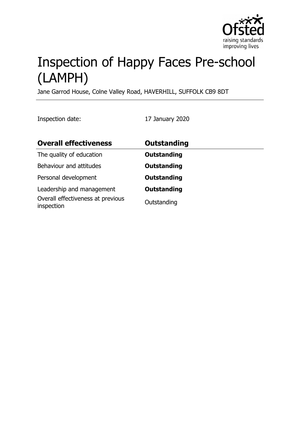

# Inspection of Happy Faces Pre-school (LAMPH)

Jane Garrod House, Colne Valley Road, HAVERHILL, SUFFOLK CB9 8DT

Inspection date: 17 January 2020

| <b>Overall effectiveness</b>                                                 | <b>Outstanding</b>                |
|------------------------------------------------------------------------------|-----------------------------------|
| The quality of education                                                     | <b>Outstanding</b>                |
| Behaviour and attitudes                                                      | <b>Outstanding</b>                |
| Personal development                                                         | <b>Outstanding</b>                |
| Leadership and management<br>Overall effectiveness at previous<br>inspection | <b>Outstanding</b><br>Outstanding |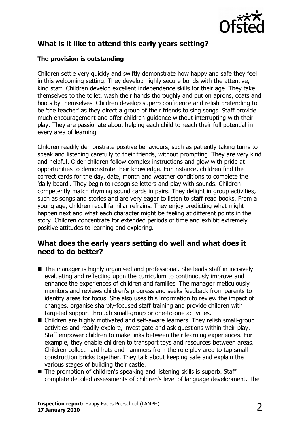

## **What is it like to attend this early years setting?**

#### **The provision is outstanding**

Children settle very quickly and swiftly demonstrate how happy and safe they feel in this welcoming setting. They develop highly secure bonds with the attentive, kind staff. Children develop excellent independence skills for their age. They take themselves to the toilet, wash their hands thoroughly and put on aprons, coats and boots by themselves. Children develop superb confidence and relish pretending to be 'the teacher' as they direct a group of their friends to sing songs. Staff provide much encouragement and offer children guidance without interrupting with their play. They are passionate about helping each child to reach their full potential in every area of learning.

Children readily demonstrate positive behaviours, such as patiently taking turns to speak and listening carefully to their friends, without prompting. They are very kind and helpful. Older children follow complex instructions and glow with pride at opportunities to demonstrate their knowledge. For instance, children find the correct cards for the day, date, month and weather conditions to complete the 'daily board'. They begin to recognise letters and play with sounds. Children competently match rhyming sound cards in pairs. They delight in group activities, such as songs and stories and are very eager to listen to staff read books. From a young age, children recall familiar refrains. They enjoy predicting what might happen next and what each character might be feeling at different points in the story. Children concentrate for extended periods of time and exhibit extremely positive attitudes to learning and exploring.

## **What does the early years setting do well and what does it need to do better?**

- $\blacksquare$  The manager is highly organised and professional. She leads staff in incisively evaluating and reflecting upon the curriculum to continuously improve and enhance the experiences of children and families. The manager meticulously monitors and reviews children's progress and seeks feedback from parents to identify areas for focus. She also uses this information to review the impact of changes, organise sharply-focused staff training and provide children with targeted support through small-group or one-to-one activities.
- $\blacksquare$  Children are highly motivated and self-aware learners. They relish small-group activities and readily explore, investigate and ask questions within their play. Staff empower children to make links between their learning experiences. For example, they enable children to transport toys and resources between areas. Children collect hard hats and hammers from the role play area to tap small construction bricks together. They talk about keeping safe and explain the various stages of building their castle.
- $\blacksquare$  The promotion of children's speaking and listening skills is superb. Staff complete detailed assessments of children's level of language development. The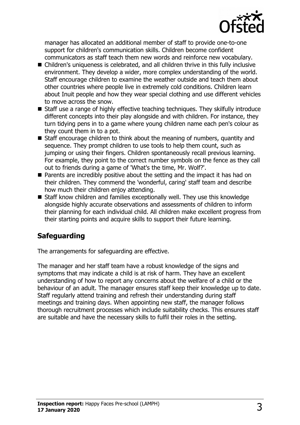

manager has allocated an additional member of staff to provide one-to-one support for children's communication skills. Children become confident communicators as staff teach them new words and reinforce new vocabulary.

- Children's uniqueness is celebrated, and all children thrive in this fully inclusive environment. They develop a wider, more complex understanding of the world. Staff encourage children to examine the weather outside and teach them about other countries where people live in extremely cold conditions. Children learn about Inuit people and how they wear special clothing and use different vehicles to move across the snow.
- $\blacksquare$  Staff use a range of highly effective teaching techniques. They skilfully introduce different concepts into their play alongside and with children. For instance, they turn tidying pens in to a game where young children name each pen's colour as they count them in to a pot.
- $\blacksquare$  Staff encourage children to think about the meaning of numbers, quantity and sequence. They prompt children to use tools to help them count, such as jumping or using their fingers. Children spontaneously recall previous learning. For example, they point to the correct number symbols on the fence as they call out to friends during a game of 'What's the time, Mr. Wolf?'.
- $\blacksquare$  Parents are incredibly positive about the setting and the impact it has had on their children. They commend the 'wonderful, caring' staff team and describe how much their children enjoy attending.
- $\blacksquare$  Staff know children and families exceptionally well. They use this knowledge alongside highly accurate observations and assessments of children to inform their planning for each individual child. All children make excellent progress from their starting points and acquire skills to support their future learning.

# **Safeguarding**

The arrangements for safeguarding are effective.

The manager and her staff team have a robust knowledge of the signs and symptoms that may indicate a child is at risk of harm. They have an excellent understanding of how to report any concerns about the welfare of a child or the behaviour of an adult. The manager ensures staff keep their knowledge up to date. Staff regularly attend training and refresh their understanding during staff meetings and training days. When appointing new staff, the manager follows thorough recruitment processes which include suitability checks. This ensures staff are suitable and have the necessary skills to fulfil their roles in the setting.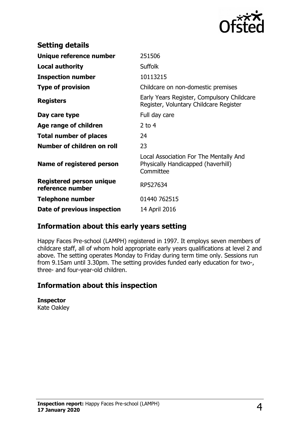

| <b>Setting details</b>                              |                                                                                           |
|-----------------------------------------------------|-------------------------------------------------------------------------------------------|
| Unique reference number                             | 251506                                                                                    |
| <b>Local authority</b>                              | <b>Suffolk</b>                                                                            |
| <b>Inspection number</b>                            | 10113215                                                                                  |
| <b>Type of provision</b>                            | Childcare on non-domestic premises                                                        |
| <b>Registers</b>                                    | Early Years Register, Compulsory Childcare<br>Register, Voluntary Childcare Register      |
| Day care type                                       | Full day care                                                                             |
| Age range of children                               | $2$ to 4                                                                                  |
| <b>Total number of places</b>                       | 24                                                                                        |
| Number of children on roll                          | 23                                                                                        |
| Name of registered person                           | Local Association For The Mentally And<br>Physically Handicapped (haverhill)<br>Committee |
| <b>Registered person unique</b><br>reference number | RP527634                                                                                  |
| <b>Telephone number</b>                             | 01440 762515                                                                              |
| Date of previous inspection                         | 14 April 2016                                                                             |

## **Information about this early years setting**

Happy Faces Pre-school (LAMPH) registered in 1997. It employs seven members of childcare staff, all of whom hold appropriate early years qualifications at level 2 and above. The setting operates Monday to Friday during term time only. Sessions run from 9.15am until 3.30pm. The setting provides funded early education for two-, three- and four-year-old children.

## **Information about this inspection**

**Inspector** Kate Oakley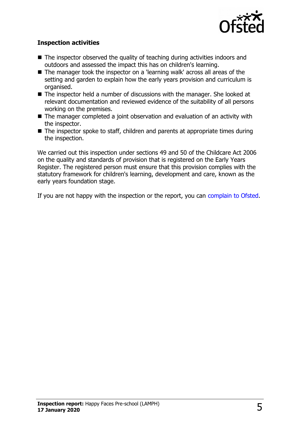

#### **Inspection activities**

- $\blacksquare$  The inspector observed the quality of teaching during activities indoors and outdoors and assessed the impact this has on children's learning.
- The manager took the inspector on a 'learning walk' across all areas of the setting and garden to explain how the early years provision and curriculum is organised.
- $\blacksquare$  The inspector held a number of discussions with the manager. She looked at relevant documentation and reviewed evidence of the suitability of all persons working on the premises.
- $\blacksquare$  The manager completed a joint observation and evaluation of an activity with the inspector.
- $\blacksquare$  The inspector spoke to staff, children and parents at appropriate times during the inspection.

We carried out this inspection under sections 49 and 50 of the Childcare Act 2006 on the quality and standards of provision that is registered on the Early Years Register. The registered person must ensure that this provision complies with the statutory framework for children's learning, development and care, known as the early years foundation stage.

If you are not happy with the inspection or the report, you can [complain to Ofsted.](http://www.gov.uk/complain-ofsted-report)